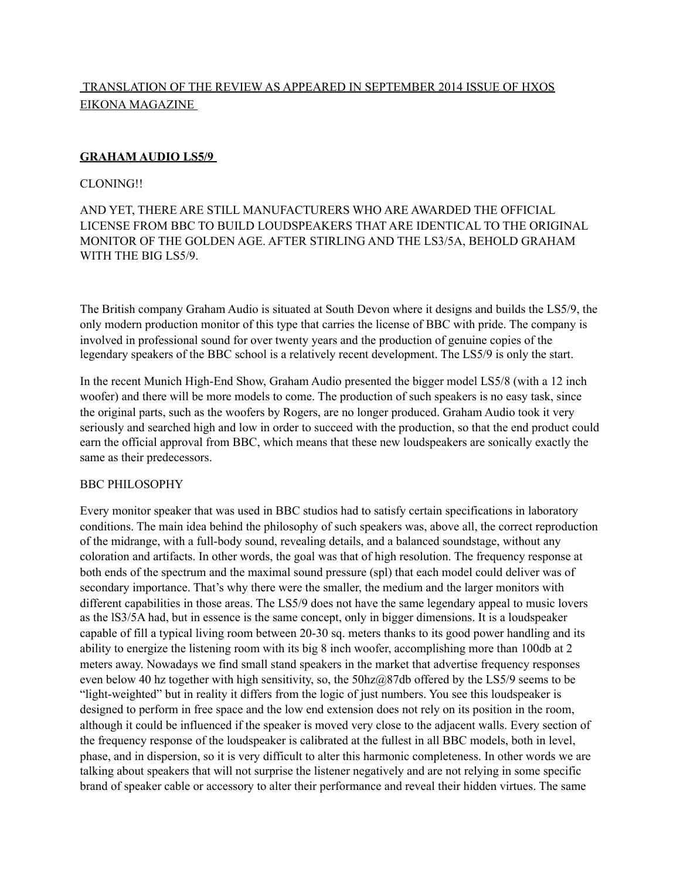# TRANSLATION OF THE REVIEW AS APPEARED IN SEPTEMBER 2014 ISSUE OF HXOS EIKONA MAGAZINE

# **GRAHAM AUDIO LS5/9**

### CLONING!!

# AND YET, THERE ARE STILL MANUFACTURERS WHO ARE AWARDED THE OFFICIAL LICENSE FROM BBC TO BUILD LOUDSPEAKERS THAT ARE IDENTICAL TO THE ORIGINAL MONITOR OF THE GOLDEN AGE. AFTER STIRLING AND THE LS3/5A, BEHOLD GRAHAM WITH THE BIG LS5/9.

The British company Graham Audio is situated at South Devon where it designs and builds the LS5/9, the only modern production monitor of this type that carries the license of BBC with pride. The company is involved in professional sound for over twenty years and the production of genuine copies of the legendary speakers of the BBC school is a relatively recent development. The LS5/9 is only the start.

In the recent Munich High-End Show, Graham Audio presented the bigger model LS5/8 (with a 12 inch woofer) and there will be more models to come. The production of such speakers is no easy task, since the original parts, such as the woofers by Rogers, are no longer produced. Graham Audio took it very seriously and searched high and low in order to succeed with the production, so that the end product could earn the official approval from BBC, which means that these new loudspeakers are sonically exactly the same as their predecessors.

#### BBC PHILOSOPHY

Every monitor speaker that was used in BBC studios had to satisfy certain specifications in laboratory conditions. The main idea behind the philosophy of such speakers was, above all, the correct reproduction of the midrange, with a full-body sound, revealing details, and a balanced soundstage, without any coloration and artifacts. In other words, the goal was that of high resolution. The frequency response at both ends of the spectrum and the maximal sound pressure (spl) that each model could deliver was of secondary importance. That's why there were the smaller, the medium and the larger monitors with different capabilities in those areas. The LS5/9 does not have the same legendary appeal to music lovers as the lS3/5A had, but in essence is the same concept, only in bigger dimensions. It is a loudspeaker capable of fill a typical living room between 20-30 sq. meters thanks to its good power handling and its ability to energize the listening room with its big 8 inch woofer, accomplishing more than 100db at 2 meters away. Nowadays we find small stand speakers in the market that advertise frequency responses even below 40 hz together with high sensitivity, so, the 50hz@87db offered by the LS5/9 seems to be "light-weighted" but in reality it differs from the logic of just numbers. You see this loudspeaker is designed to perform in free space and the low end extension does not rely on its position in the room, although it could be influenced if the speaker is moved very close to the adjacent walls. Every section of the frequency response of the loudspeaker is calibrated at the fullest in all BBC models, both in level, phase, and in dispersion, so it is very difficult to alter this harmonic completeness. In other words we are talking about speakers that will not surprise the listener negatively and are not relying in some specific brand of speaker cable or accessory to alter their performance and reveal their hidden virtues. The same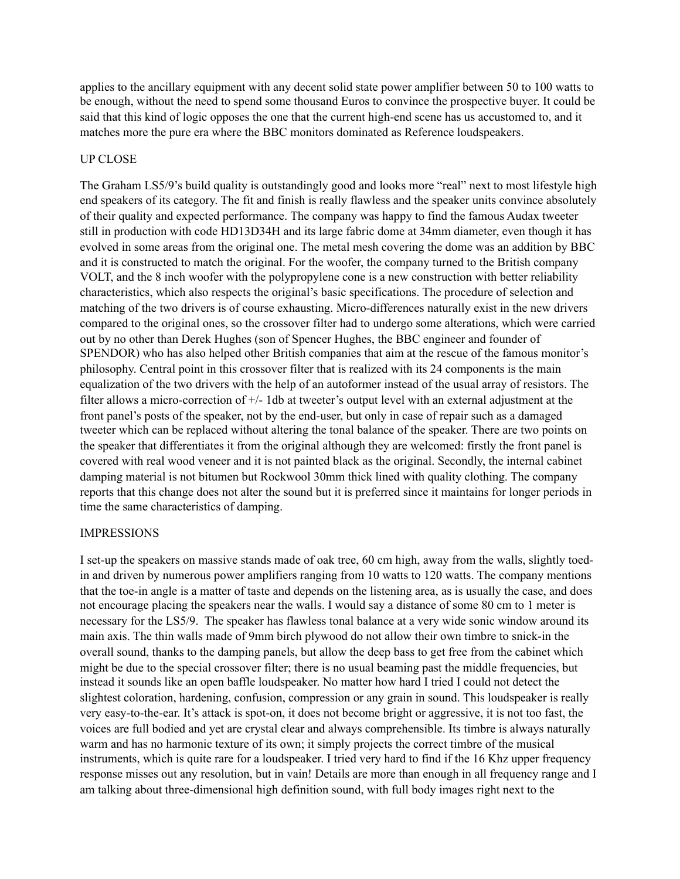applies to the ancillary equipment with any decent solid state power amplifier between 50 to 100 watts to be enough, without the need to spend some thousand Euros to convince the prospective buyer. It could be said that this kind of logic opposes the one that the current high-end scene has us accustomed to, and it matches more the pure era where the BBC monitors dominated as Reference loudspeakers.

#### UP CLOSE

The Graham LS5/9's build quality is outstandingly good and looks more "real" next to most lifestyle high end speakers of its category. The fit and finish is really flawless and the speaker units convince absolutely of their quality and expected performance. The company was happy to find the famous Audax tweeter still in production with code HD13D34H and its large fabric dome at 34mm diameter, even though it has evolved in some areas from the original one. The metal mesh covering the dome was an addition by BBC and it is constructed to match the original. For the woofer, the company turned to the British company VOLT, and the 8 inch woofer with the polypropylene cone is a new construction with better reliability characteristics, which also respects the original's basic specifications. The procedure of selection and matching of the two drivers is of course exhausting. Micro-differences naturally exist in the new drivers compared to the original ones, so the crossover filter had to undergo some alterations, which were carried out by no other than Derek Hughes (son of Spencer Hughes, the BBC engineer and founder of SPENDOR) who has also helped other British companies that aim at the rescue of the famous monitor's philosophy. Central point in this crossover filter that is realized with its 24 components is the main equalization of the two drivers with the help of an autoformer instead of the usual array of resistors. The filter allows a micro-correction of +/- 1db at tweeter's output level with an external adjustment at the front panel's posts of the speaker, not by the end-user, but only in case of repair such as a damaged tweeter which can be replaced without altering the tonal balance of the speaker. There are two points on the speaker that differentiates it from the original although they are welcomed: firstly the front panel is covered with real wood veneer and it is not painted black as the original. Secondly, the internal cabinet damping material is not bitumen but Rockwool 30mm thick lined with quality clothing. The company reports that this change does not alter the sound but it is preferred since it maintains for longer periods in time the same characteristics of damping.

#### IMPRESSIONS

I set-up the speakers on massive stands made of oak tree, 60 cm high, away from the walls, slightly toedin and driven by numerous power amplifiers ranging from 10 watts to 120 watts. The company mentions that the toe-in angle is a matter of taste and depends on the listening area, as is usually the case, and does not encourage placing the speakers near the walls. I would say a distance of some 80 cm to 1 meter is necessary for the LS5/9. The speaker has flawless tonal balance at a very wide sonic window around its main axis. The thin walls made of 9mm birch plywood do not allow their own timbre to snick-in the overall sound, thanks to the damping panels, but allow the deep bass to get free from the cabinet which might be due to the special crossover filter; there is no usual beaming past the middle frequencies, but instead it sounds like an open baffle loudspeaker. No matter how hard I tried I could not detect the slightest coloration, hardening, confusion, compression or any grain in sound. This loudspeaker is really very easy-to-the-ear. It's attack is spot-on, it does not become bright or aggressive, it is not too fast, the voices are full bodied and yet are crystal clear and always comprehensible. Its timbre is always naturally warm and has no harmonic texture of its own; it simply projects the correct timbre of the musical instruments, which is quite rare for a loudspeaker. I tried very hard to find if the 16 Khz upper frequency response misses out any resolution, but in vain! Details are more than enough in all frequency range and I am talking about three-dimensional high definition sound, with full body images right next to the